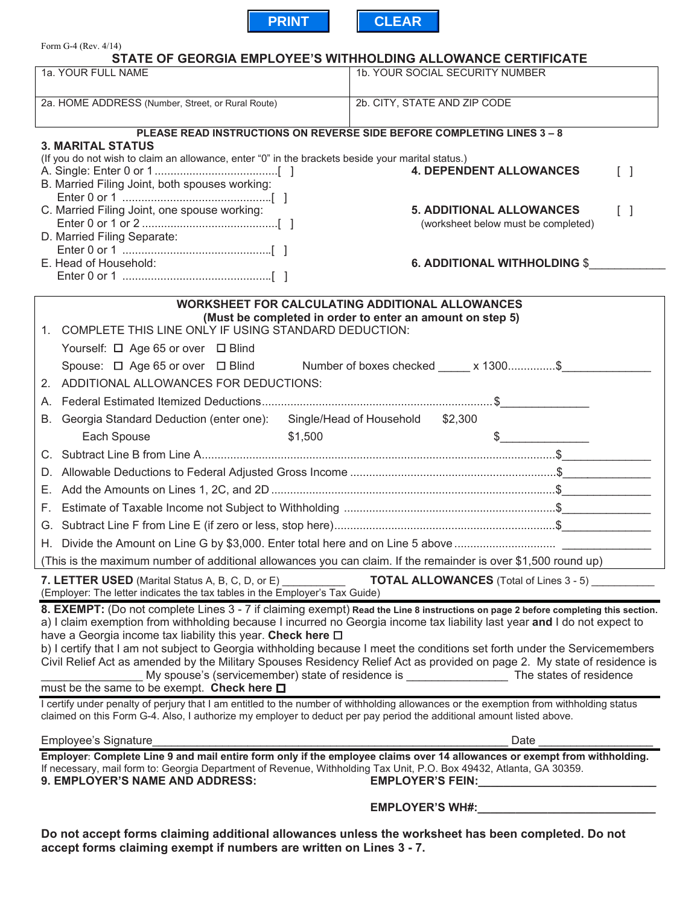

| Form G-4 (Rev. $4/14$ )<br>STATE OF GEORGIA EMPLOYEE'S WITHHOLDING ALLOWANCE CERTIFICATE                                                                                                                                                                                                                                  |                                                                                                                                                                                                                                |
|---------------------------------------------------------------------------------------------------------------------------------------------------------------------------------------------------------------------------------------------------------------------------------------------------------------------------|--------------------------------------------------------------------------------------------------------------------------------------------------------------------------------------------------------------------------------|
| 1a. YOUR FULL NAME                                                                                                                                                                                                                                                                                                        | 1b. YOUR SOCIAL SECURITY NUMBER                                                                                                                                                                                                |
|                                                                                                                                                                                                                                                                                                                           |                                                                                                                                                                                                                                |
| 2a. HOME ADDRESS (Number, Street, or Rural Route)                                                                                                                                                                                                                                                                         | 2b. CITY, STATE AND ZIP CODE                                                                                                                                                                                                   |
| PLEASE READ INSTRUCTIONS ON REVERSE SIDE BEFORE COMPLETING LINES 3 - 8                                                                                                                                                                                                                                                    |                                                                                                                                                                                                                                |
| <b>3. MARITAL STATUS</b>                                                                                                                                                                                                                                                                                                  |                                                                                                                                                                                                                                |
| (If you do not wish to claim an allowance, enter "0" in the brackets beside your marital status.)                                                                                                                                                                                                                         | <b>4. DEPENDENT ALLOWANCES</b><br>$\begin{bmatrix} \end{bmatrix}$                                                                                                                                                              |
| B. Married Filing Joint, both spouses working:                                                                                                                                                                                                                                                                            |                                                                                                                                                                                                                                |
|                                                                                                                                                                                                                                                                                                                           |                                                                                                                                                                                                                                |
| C. Married Filing Joint, one spouse working:                                                                                                                                                                                                                                                                              | <b>5. ADDITIONAL ALLOWANCES</b><br>$\begin{bmatrix} 1 \end{bmatrix}$<br>(worksheet below must be completed)                                                                                                                    |
| D. Married Filing Separate:                                                                                                                                                                                                                                                                                               |                                                                                                                                                                                                                                |
|                                                                                                                                                                                                                                                                                                                           |                                                                                                                                                                                                                                |
| E. Head of Household:                                                                                                                                                                                                                                                                                                     | <b>6. ADDITIONAL WITHHOLDING \$</b>                                                                                                                                                                                            |
|                                                                                                                                                                                                                                                                                                                           |                                                                                                                                                                                                                                |
| <b>WORKSHEET FOR CALCULATING ADDITIONAL ALLOWANCES</b><br>(Must be completed in order to enter an amount on step 5)                                                                                                                                                                                                       |                                                                                                                                                                                                                                |
| 1. COMPLETE THIS LINE ONLY IF USING STANDARD DEDUCTION:                                                                                                                                                                                                                                                                   |                                                                                                                                                                                                                                |
| Yourself: □ Age 65 or over □ Blind                                                                                                                                                                                                                                                                                        |                                                                                                                                                                                                                                |
|                                                                                                                                                                                                                                                                                                                           | Spouse: □ Age 65 or over □ Blind Number of boxes checked _____ x 1300\$                                                                                                                                                        |
| 2. ADDITIONAL ALLOWANCES FOR DEDUCTIONS:                                                                                                                                                                                                                                                                                  |                                                                                                                                                                                                                                |
|                                                                                                                                                                                                                                                                                                                           |                                                                                                                                                                                                                                |
| Georgia Standard Deduction (enter one): Single/Head of Household \$2,300<br>В.                                                                                                                                                                                                                                            |                                                                                                                                                                                                                                |
| Each Spouse                                                                                                                                                                                                                                                                                                               | \$1,500<br>$\frac{1}{2}$                                                                                                                                                                                                       |
|                                                                                                                                                                                                                                                                                                                           |                                                                                                                                                                                                                                |
|                                                                                                                                                                                                                                                                                                                           |                                                                                                                                                                                                                                |
|                                                                                                                                                                                                                                                                                                                           |                                                                                                                                                                                                                                |
| F.                                                                                                                                                                                                                                                                                                                        |                                                                                                                                                                                                                                |
|                                                                                                                                                                                                                                                                                                                           |                                                                                                                                                                                                                                |
| H. Divide the Amount on Line G by \$3,000. Enter total here and on Line 5 above                                                                                                                                                                                                                                           |                                                                                                                                                                                                                                |
| (This is the maximum number of additional allowances you can claim. If the remainder is over \$1,500 round up)                                                                                                                                                                                                            |                                                                                                                                                                                                                                |
| <b>TOTAL ALLOWANCES</b> (Total of Lines 3 - 5)<br>7. LETTER USED (Marital Status A, B, C, D, or E) ________                                                                                                                                                                                                               |                                                                                                                                                                                                                                |
| (Employer: The letter indicates the tax tables in the Employer's Tax Guide)                                                                                                                                                                                                                                               |                                                                                                                                                                                                                                |
| 8. EXEMPT: (Do not complete Lines 3 - 7 if claiming exempt) Read the Line 8 instructions on page 2 before completing this section.<br>a) I claim exemption from withholding because I incurred no Georgia income tax liability last year and I do not expect to                                                           |                                                                                                                                                                                                                                |
| have a Georgia income tax liability this year. Check here $\Box$                                                                                                                                                                                                                                                          |                                                                                                                                                                                                                                |
|                                                                                                                                                                                                                                                                                                                           | b) I certify that I am not subject to Georgia withholding because I meet the conditions set forth under the Servicemembers                                                                                                     |
|                                                                                                                                                                                                                                                                                                                           | Civil Relief Act as amended by the Military Spouses Residency Relief Act as provided on page 2. My state of residence is<br>My spouse's (servicemember) state of residence is ________________________ The states of residence |
| must be the same to be exempt. Check here □                                                                                                                                                                                                                                                                               |                                                                                                                                                                                                                                |
| I certify under penalty of perjury that I am entitled to the number of withholding allowances or the exemption from withholding status<br>claimed on this Form G-4. Also, I authorize my employer to deduct per pay period the additional amount listed above.                                                            |                                                                                                                                                                                                                                |
| Employee's Signature                                                                                                                                                                                                                                                                                                      | Date                                                                                                                                                                                                                           |
| Employer: Complete Line 9 and mail entire form only if the employee claims over 14 allowances or exempt from withholding.<br>If necessary, mail form to: Georgia Department of Revenue, Withholding Tax Unit, P.O. Box 49432, Atlanta, GA 30359.<br>9. EMPLOYER'S NAME AND ADDRESS:<br>EMPLOYER'S FEIN: <b>EMPLOYER'S</b> |                                                                                                                                                                                                                                |
| <b>EMPLOYER'S WH#:</b>                                                                                                                                                                                                                                                                                                    |                                                                                                                                                                                                                                |
|                                                                                                                                                                                                                                                                                                                           |                                                                                                                                                                                                                                |

**Do not accept forms claiming additional allowances unless the worksheet has been completed. Do not accept forms claiming exempt if numbers are written on Lines 3 - 7.**